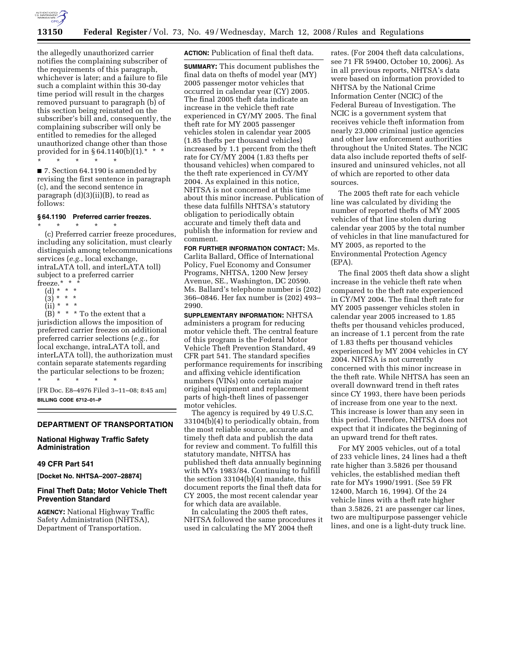

the allegedly unauthorized carrier notifies the complaining subscriber of the requirements of this paragraph, whichever is later; and a failure to file such a complaint within this 30-day time period will result in the charges removed pursuant to paragraph (b) of this section being reinstated on the subscriber's bill and, consequently, the complaining subscriber will only be entitled to remedies for the alleged unauthorized change other than those provided for in  $§ 64.1140(b)(1).*$  \* \* \* \* \* \* \*

■ 7. Section 64.1190 is amended by revising the first sentence in paragraph (c), and the second sentence in paragraph (d)(3)(ii)(B), to read as follows:

#### **§ 64.1190 Preferred carrier freezes.**

\* \* \* \* \* (c) Preferred carrier freeze procedures, including any solicitation, must clearly distinguish among telecommunications services (*e.g.*, local exchange, intraLATA toll, and interLATA toll) subject to a preferred carrier freeze.\* \* \*

- (d) \* \* \*
- $(3) * * * *$
- $(ii) * * * *$

 $(B) * * * To the extent that a$ jurisdiction allows the imposition of preferred carrier freezes on additional preferred carrier selections (*e.g.*, for local exchange, intraLATA toll, and interLATA toll), the authorization must contain separate statements regarding the particular selections to be frozen;

\* \* \* \* \* [FR Doc. E8–4976 Filed 3–11–08; 8:45 am] **BILLING CODE 6712–01–P** 

## **DEPARTMENT OF TRANSPORTATION**

# **National Highway Traffic Safety Administration**

# **49 CFR Part 541**

**[Docket No. NHTSA–2007–28874]** 

## **Final Theft Data; Motor Vehicle Theft Prevention Standard**

**AGENCY:** National Highway Traffic Safety Administration (NHTSA), Department of Transportation.

**ACTION:** Publication of final theft data.

**SUMMARY:** This document publishes the final data on thefts of model year (MY) 2005 passenger motor vehicles that occurred in calendar year (CY) 2005. The final 2005 theft data indicate an increase in the vehicle theft rate experienced in CY/MY 2005. The final theft rate for MY 2005 passenger vehicles stolen in calendar year 2005 (1.85 thefts per thousand vehicles) increased by 1.1 percent from the theft rate for CY/MY 2004 (1.83 thefts per thousand vehicles) when compared to the theft rate experienced in CY/MY 2004. As explained in this notice, NHTSA is not concerned at this time about this minor increase. Publication of these data fulfills NHTSA's statutory obligation to periodically obtain accurate and timely theft data and publish the information for review and comment.

**FOR FURTHER INFORMATION CONTACT:** Ms. Carlita Ballard, Office of International Policy, Fuel Economy and Consumer Programs, NHTSA, 1200 New Jersey Avenue, SE., Washington, DC 20590. Ms. Ballard's telephone number is (202) 366–0846. Her fax number is (202) 493– 2990.

**SUPPLEMENTARY INFORMATION:** NHTSA administers a program for reducing motor vehicle theft. The central feature of this program is the Federal Motor Vehicle Theft Prevention Standard, 49 CFR part 541. The standard specifies performance requirements for inscribing and affixing vehicle identification numbers (VINs) onto certain major original equipment and replacement parts of high-theft lines of passenger motor vehicles.

The agency is required by 49 U.S.C. 33104(b)(4) to periodically obtain, from the most reliable source, accurate and timely theft data and publish the data for review and comment. To fulfill this statutory mandate, NHTSA has published theft data annually beginning with MYs 1983/84. Continuing to fulfill the section 33104(b)(4) mandate, this document reports the final theft data for CY 2005, the most recent calendar year for which data are available.

In calculating the 2005 theft rates, NHTSA followed the same procedures it used in calculating the MY 2004 theft

rates. (For 2004 theft data calculations, see 71 FR 59400, October 10, 2006). As in all previous reports, NHTSA's data were based on information provided to NHTSA by the National Crime Information Center (NCIC) of the Federal Bureau of Investigation. The NCIC is a government system that receives vehicle theft information from nearly 23,000 criminal justice agencies and other law enforcement authorities throughout the United States. The NCIC data also include reported thefts of selfinsured and uninsured vehicles, not all of which are reported to other data sources.

The 2005 theft rate for each vehicle line was calculated by dividing the number of reported thefts of MY 2005 vehicles of that line stolen during calendar year 2005 by the total number of vehicles in that line manufactured for MY 2005, as reported to the Environmental Protection Agency (EPA).

The final 2005 theft data show a slight increase in the vehicle theft rate when compared to the theft rate experienced in CY/MY 2004. The final theft rate for MY 2005 passenger vehicles stolen in calendar year 2005 increased to 1.85 thefts per thousand vehicles produced, an increase of 1.1 percent from the rate of 1.83 thefts per thousand vehicles experienced by MY 2004 vehicles in CY 2004. NHTSA is not currently concerned with this minor increase in the theft rate. While NHTSA has seen an overall downward trend in theft rates since CY 1993, there have been periods of increase from one year to the next. This increase is lower than any seen in this period. Therefore, NHTSA does not expect that it indicates the beginning of an upward trend for theft rates.

For MY 2005 vehicles, out of a total of 233 vehicle lines, 24 lines had a theft rate higher than 3.5826 per thousand vehicles, the established median theft rate for MYs 1990/1991. (See 59 FR 12400, March 16, 1994). Of the 24 vehicle lines with a theft rate higher than 3.5826, 21 are passenger car lines, two are multipurpose passenger vehicle lines, and one is a light-duty truck line.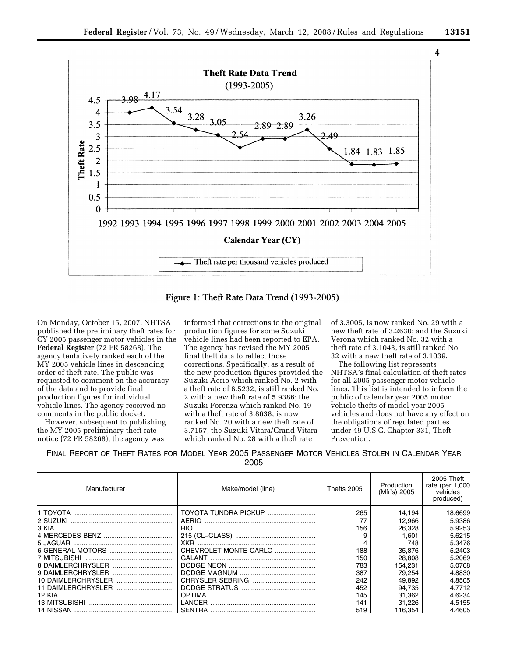





Figure 1: Theft Rate Data Trend (1993-2005)

On Monday, October 15, 2007, NHTSA published the preliminary theft rates for CY 2005 passenger motor vehicles in the **Federal Register** (72 FR 58268). The agency tentatively ranked each of the MY 2005 vehicle lines in descending order of theft rate. The public was requested to comment on the accuracy of the data and to provide final production figures for individual vehicle lines. The agency received no comments in the public docket.

However, subsequent to publishing the MY 2005 preliminary theft rate notice (72 FR 58268), the agency was

informed that corrections to the original production figures for some Suzuki vehicle lines had been reported to EPA. The agency has revised the MY 2005 final theft data to reflect those corrections. Specifically, as a result of the new production figures provided the Suzuki Aerio which ranked No. 2 with a theft rate of 6.5232, is still ranked No. 2 with a new theft rate of 5.9386; the Suzuki Forenza which ranked No. 19 with a theft rate of 3.8638, is now ranked No. 20 with a new theft rate of 3.7157; the Suzuki Vitara/Grand Vitara which ranked No. 28 with a theft rate

of 3.3005, is now ranked No. 29 with a new theft rate of 3.2630; and the Suzuki Verona which ranked No. 32 with a theft rate of 3.1043, is still ranked No. 32 with a new theft rate of 3.1039.

The following list represents NHTSA's final calculation of theft rates for all 2005 passenger motor vehicle lines. This list is intended to inform the public of calendar year 2005 motor vehicle thefts of model year 2005 vehicles and does not have any effect on the obligations of regulated parties under 49 U.S.C. Chapter 331, Theft Prevention.

FINAL REPORT OF THEFT RATES FOR MODEL YEAR 2005 PASSENGER MOTOR VEHICLES STOLEN IN CALENDAR YEAR 2005

| Manufacturer              | Make/model (line)     | Thefts 2005 | Production<br>(Mfr's) 2005 | 2005 Theft<br>rate (per 1,000<br>vehicles<br>produced) |
|---------------------------|-----------------------|-------------|----------------------------|--------------------------------------------------------|
| 1 TOYOTA                  | TOYOTA TUNDRA PICKUP  | 265         | 14.194                     | 18.6699                                                |
| 2 SUZUKI                  | AERIO                 | 77          | 12.966                     | 5.9386                                                 |
| 3 KIA                     | RIO.                  | 156         | 26.328                     | 5.9253                                                 |
|                           |                       | 9           | 1.601                      | 5.6215                                                 |
| 5 JAGUAR                  |                       | 4           | 748                        | 5.3476                                                 |
|                           | CHEVROLET MONTE CARLO | 188         | 35.876                     | 5.2403                                                 |
|                           | GALANT                | 150         | 28.808                     | 5.2069                                                 |
|                           |                       | 783         | 154.231                    | 5.0768                                                 |
|                           |                       | 387         | 79.254                     | 4.8830                                                 |
|                           |                       | 242         | 49.892                     | 4.8505                                                 |
| <b>11 DAIMLERCHRYSLER</b> |                       | 452         | 94.735                     | 4.7712                                                 |
| 12 KIA                    | <b>OPTIMA</b>         | 145         | 31.362                     | 4.6234                                                 |
|                           | LANCER                | 141         | 31.226                     | 4.5155                                                 |
|                           |                       | 519         | 116.354                    | 4.4605                                                 |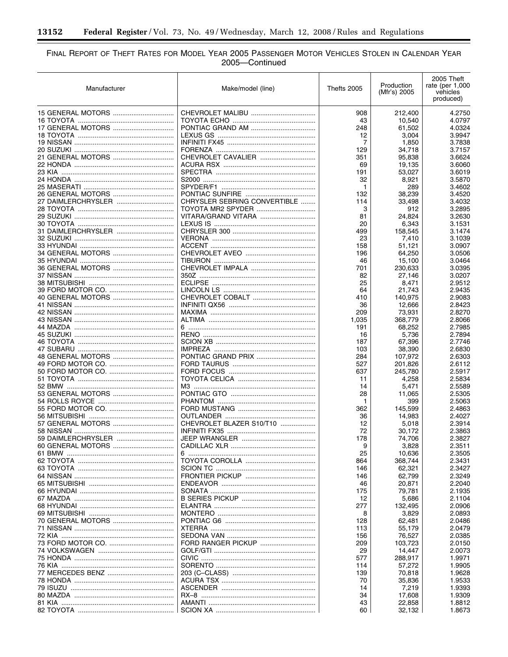$\equiv$ 

# FINAL REPORT OF THEFT RATES FOR MODEL YEAR 2005 PASSENGER MOTOR VEHICLES STOLEN IN CALENDAR YEAR<br>2005—Continued

▀

| Manufacturer       | Make/model (line)            | Thefts 2005 | Production<br>(Mfr's) 2005 | 2005 Theft<br>rate (per $1,000$<br>vehicles<br>produced) |
|--------------------|------------------------------|-------------|----------------------------|----------------------------------------------------------|
|                    |                              | 908         | 212,400                    | 4.2750                                                   |
|                    |                              | 43          | 10,540                     | 4.0797                                                   |
|                    |                              | 248         | 61,502                     | 4.0324                                                   |
|                    |                              | 12          | 3,004                      | 3.9947                                                   |
|                    |                              | 7           | 1,850                      | 3.7838                                                   |
|                    |                              | 129         | 34,718                     | 3.7157                                                   |
|                    | CHEVROLET CAVALIER           | 351         | 95,838                     | 3.6624                                                   |
|                    |                              | 69          | 19,135                     | 3.6060                                                   |
|                    |                              | 191         | 53,027                     | 3.6019                                                   |
|                    |                              | 32          | 8,921                      | 3.5870                                                   |
|                    |                              | 1           | 289                        | 3.4602                                                   |
|                    |                              | 132         | 38,239                     | 3.4520                                                   |
| 27 DAIMLERCHRYSLER | CHRYSLER SEBRING CONVERTIBLE | 114         | 33,498                     | 3.4032                                                   |
|                    | TOYOTA MR2 SPYDER            | 3           | 912                        | 3.2895                                                   |
|                    | VITARA/GRAND VITARA          | 81          | 24,824                     | 3.2630                                                   |
|                    |                              | 20          | 6,343                      | 3.1531                                                   |
| 31 DAIMLERCHRYSLER |                              | 499         | 158,545                    | 3.1474                                                   |
|                    |                              | 23          | 7,410                      | 3.1039                                                   |
| 34 GENERAL MOTORS  |                              | 158         | 51,121                     | 3.0907                                                   |
|                    |                              | 196         | 64,250<br>15,100           | 3.0506<br>3.0464                                         |
|                    |                              | 46<br>701   | 230,633                    | 3.0395                                                   |
|                    |                              | 82          | 27.146                     | 3.0207                                                   |
|                    |                              | 25          | 8,471                      | 2.9512                                                   |
|                    |                              | 64          | 21,743                     | 2.9435                                                   |
|                    |                              | 410         | 140,975                    | 2.9083                                                   |
|                    |                              | 36          | 12,666                     | 2.8423                                                   |
|                    |                              | 209         | 73,931                     | 2.8270                                                   |
|                    |                              | 1,035       | 368,779                    | 2.8066                                                   |
|                    |                              | 191         | 68,252                     | 2.7985                                                   |
|                    |                              | 16          | 5,736                      | 2.7894                                                   |
|                    |                              | 187         | 67,396                     | 2.7746                                                   |
|                    |                              | 103         | 38,390                     | 2.6830                                                   |
|                    |                              | 284         | 107,972                    | 2.6303                                                   |
|                    |                              | 527         | 201,826                    | 2.6112                                                   |
|                    |                              | 637         | 245,780                    | 2.5917                                                   |
|                    |                              | 11          | 4,258                      | 2.5834                                                   |
|                    |                              | 14          | 5,471                      | 2.5589                                                   |
|                    |                              | 28          | 11,065                     | 2.5305                                                   |
|                    |                              | 1           | 399                        | 2.5063                                                   |
|                    |                              | 362         | 145,599                    | 2.4863                                                   |
|                    |                              | 36          | 14,983                     | 2.4027                                                   |
|                    | CHEVROLET BLAZER S10/T10     | 12          | 5,018                      | 2.3914                                                   |
|                    |                              | 72          | 30,172                     | 2.3863                                                   |
| 59 DAIMLERCHRYSLER |                              | 178         | 74,706                     | 2.3827                                                   |
| 60 GENERAL MOTORS  |                              | 9           | 3,828                      | 2.3511                                                   |
|                    |                              | 25          | 10,636                     | 2.3505                                                   |
|                    |                              | 864         | 368,744                    | 2.3431                                                   |
|                    |                              | 146         | 62,321                     | 2.3427                                                   |
|                    |                              | 146         | 62,799                     | 2.3249                                                   |
|                    |                              | 46          | 20,871                     | 2.2040                                                   |
|                    |                              | 175         | 79,781                     | 2.1935                                                   |
|                    |                              | 12          | 5,686                      | 2.1104                                                   |
|                    |                              | 277         | 132,495                    | 2.0906                                                   |
|                    |                              | 8           | 3,829                      | 2.0893                                                   |
|                    |                              | 128         | 62,481                     | 2.0486                                                   |
|                    |                              | 113         | 55,179                     | 2.0479                                                   |
|                    |                              | 156         | 76,527                     | 2.0385                                                   |
|                    | FORD RANGER PICKUP           | 209         | 103,723                    | 2.0150                                                   |
|                    |                              | 29          | 14,447                     | 2.0073                                                   |
|                    |                              | 577         | 288,917                    | 1.9971                                                   |
|                    |                              | 114         | 57,272                     | 1.9905                                                   |
|                    |                              | 139         | 70,818                     | 1.9628                                                   |
|                    |                              | 70          | 35,836                     | 1.9533                                                   |
|                    |                              | 14          | 7,219                      | 1.9393                                                   |
|                    |                              | 34          | 17,608                     | 1.9309                                                   |
|                    |                              | 43          | 22,858                     | 1.8812                                                   |
|                    |                              | 60          | 32,132                     | 1.8673                                                   |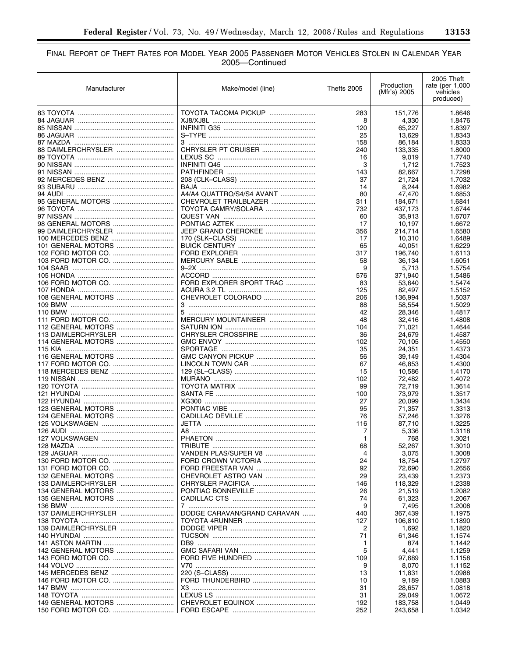—

# FINAL REPORT OF THEFT RATES FOR MODEL YEAR 2005 PASSENGER MOTOR VEHICLES STOLEN IN CALENDAR YEAR 2005—Continued

| Manufacturer        | Make/model (line)           | Thefts 2005 | Production<br>(Mfr's) 2005 | 2005 Theft<br>rate (per $1,000$<br>vehicles<br>produced) |
|---------------------|-----------------------------|-------------|----------------------------|----------------------------------------------------------|
|                     | TOYOTA TACOMA PICKUP        | 283         | 151,776                    | 1.8646                                                   |
|                     |                             | 8           | 4,330                      | 1.8476                                                   |
|                     |                             | 120         | 65,227                     | 1.8397                                                   |
|                     |                             | 25          | 13,629                     | 1.8343                                                   |
|                     |                             | 158         | 86,184                     | 1.8333                                                   |
| 88 DAIMLERCHRYSLER  | CHRYSLER PT CRUISER         | 240         | 133,335                    | 1.8000                                                   |
|                     |                             | 16          | 9,019                      | 1.7740                                                   |
|                     |                             | 3           | 1,712                      | 1.7523                                                   |
|                     |                             | 143         | 82,667                     | 1.7298                                                   |
|                     |                             | 37          | 21,724                     | 1.7032                                                   |
|                     |                             | 14          | 8,244                      | 1.6982                                                   |
|                     | A4/A4 QUATTRO/S4/S4 AVANT   | 80          | 47,470                     | 1.6853                                                   |
|                     | CHEVROLET TRAILBLAZER       | 311         | 184,671                    | 1.6841                                                   |
|                     | TOYOTA CAMRY/SOLARA         | 732         | 437,173                    | 1.6744                                                   |
|                     |                             | 60          | 35,913                     | 1.6707                                                   |
|                     |                             | 17          | 10,197                     | 1.6672                                                   |
|                     | JEEP GRAND CHEROKEE         | 356         | 214,714                    | 1.6580                                                   |
|                     |                             | 17          | 10.310                     | 1.6489                                                   |
|                     |                             | 65          | 40,051                     | 1.6229                                                   |
|                     |                             | 317         | 196,740                    | 1.6113                                                   |
|                     |                             | 58          | 36,134                     | 1.6051                                                   |
|                     |                             | 9           | 5.713                      | 1.5754                                                   |
|                     |                             | 576         | 371,940                    | 1.5486                                                   |
|                     | FORD EXPLORER SPORT TRAC    | 83          | 53,640                     | 1.5474                                                   |
|                     |                             | 125         | 82,497                     | 1.5152                                                   |
|                     | CHEVROLET COLORADO          | 206         | 136,994                    | 1.5037                                                   |
|                     |                             | 88          | 58,554                     | 1.5029                                                   |
|                     |                             | 42          | 28,346                     | 1.4817                                                   |
|                     | MERCURY MOUNTAINEER         | 48          | 32,416                     | 1.4808                                                   |
|                     |                             | 104         | 71,021                     | 1.4644                                                   |
|                     | CHRYSLER CROSSFIRE          | 36          | 24,679                     | 1.4587                                                   |
| 114 GENERAL MOTORS  |                             | 102         | 70,105                     | 1.4550                                                   |
|                     |                             | 35          | 24,351                     | 1.4373                                                   |
|                     |                             | 56          | 39,149                     | 1.4304                                                   |
|                     |                             | 67          | 46,853                     | 1.4300                                                   |
|                     |                             | 15          | 10,586                     | 1.4170                                                   |
|                     |                             | 102         | 72,482                     | 1.4072                                                   |
|                     |                             | 99          | 72,719                     | 1.3614                                                   |
|                     |                             | 100         | 73,979                     | 1.3517                                                   |
|                     |                             | 27          | 20,099                     | 1.3434                                                   |
| 123 GENERAL MOTORS  |                             | 95          | 71.357                     | 1.3313                                                   |
|                     |                             | 76          | 57,246                     | 1.3276                                                   |
|                     |                             | 116         | 87.710                     | 1.3225                                                   |
|                     |                             | 7           | 5,336                      | 1.3118                                                   |
|                     |                             | 1           | 768                        | 1.3021                                                   |
|                     |                             | 68          | 52,267                     | 1.3010                                                   |
|                     | VANDEN PLAS/SUPER V8        | 4           | 3,075                      | 1.3008                                                   |
|                     | FORD CROWN VICTORIA         | 24          | 18,754                     | 1.2797                                                   |
|                     |                             | 92          | 72,690                     | 1.2656                                                   |
|                     | CHEVROLET ASTRO VAN         | 29          | 23,439                     | 1.2373                                                   |
|                     |                             | 146         | 118,329                    | 1.2338                                                   |
|                     | PONTIAC BONNEVILLE          | 26          | 21,519                     | 1.2082                                                   |
| 135 GENERAL MOTORS  |                             | 74          | 61,323                     | 1.2067                                                   |
|                     |                             | 9           | 7,495                      | 1.2008                                                   |
| 137 DAIMLERCHRYSLER | DODGE CARAVAN/GRAND CARAVAN | 440         | 367,439                    | 1.1975                                                   |
|                     |                             | 127         | 106,810                    | 1.1890                                                   |
| 139 DAIMLERCHRYSLER |                             | 2           | 1,692                      | 1.1820                                                   |
|                     |                             | 71          | 61,346                     | 1.1574                                                   |
|                     |                             | 1.          | 874                        | 1.1442                                                   |
|                     |                             | 5           | 4,441                      | 1.1259                                                   |
|                     |                             | 109         | 97,689                     | 1.1158                                                   |
|                     |                             | 9           | 8,070                      | 1.1152                                                   |
|                     |                             | 13          | 11,831                     | 1.0988                                                   |
|                     |                             | 10          | 9,189                      | 1.0883                                                   |
|                     |                             | 31          | 28,657                     | 1.0818                                                   |
|                     |                             | 31          | 29,049                     | 1.0672                                                   |
| 149 GENERAL MOTORS  | CHEVROLET EQUINOX           | 192         | 183,758                    | 1.0449                                                   |
|                     |                             | 252         | 243,658                    | 1.0342                                                   |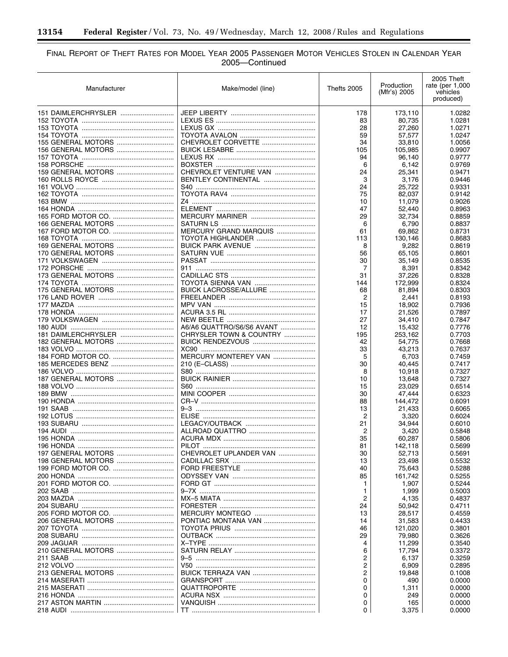-

# FINAL REPORT OF THEFT RATES FOR MODEL YEAR 2005 PASSENGER MOTOR VEHICLES STOLEN IN CALENDAR YEAR<br>2005—Continued

۰

| Manufacturer        | Make/model (line)         | Thefts 2005 | Production<br>(Mfr's) 2005 | 2005 Theft<br>rate (per $1,000$<br>vehicles<br>produced) |
|---------------------|---------------------------|-------------|----------------------------|----------------------------------------------------------|
|                     |                           | 178         | 173,110                    | 1.0282                                                   |
|                     |                           | 83          | 80,735                     | 1.0281                                                   |
|                     |                           | 28          | 27,260                     | 1.0271                                                   |
|                     |                           | 59          | 57,577                     | 1.0247                                                   |
|                     | CHEVROLET CORVETTE        | 34          | 33,810                     | 1.0056                                                   |
|                     |                           | 105         | 105,985                    | 0.9907                                                   |
|                     |                           | 94          | 96,140                     | 0.9777                                                   |
|                     |                           | 6           | 6,142                      | 0.9769                                                   |
|                     | CHEVROLET VENTURE VAN     | 24          | 25,341                     | 0.9471                                                   |
|                     | BENTLEY CONTINENTAL       | 3           | 3,176                      | 0.9446                                                   |
|                     |                           | 24          | 25.722                     | 0.9331                                                   |
|                     |                           | 75          | 82,037                     | 0.9142                                                   |
|                     |                           | 10          | 11,079                     | 0.9026                                                   |
|                     |                           | 47          | 52,440                     | 0.8963                                                   |
|                     |                           | 29          | 32,734                     | 0.8859                                                   |
|                     |                           | 6           | 6,790                      | 0.8837                                                   |
|                     | MERCURY GRAND MARQUIS     | 61          | 69,862                     | 0.8731                                                   |
|                     | TOYOTA HIGHLANDER         | 113         | 130,146                    | 0.8683                                                   |
|                     |                           | 8           | 9,282                      | 0.8619                                                   |
| 170 GENERAL MOTORS  |                           | 56          | 65,105                     | 0.8601                                                   |
|                     |                           | 30          | 35,149                     | 0.8535                                                   |
|                     |                           | 7           | 8,391                      | 0.8342                                                   |
| 173 GENERAL MOTORS  |                           | 31          | 37,226                     | 0.8328                                                   |
|                     |                           | 144         | 172,999                    | 0.8324                                                   |
| 175 GENERAL MOTORS  | BUICK LACROSSE/ALLURE     | 68          | 81,894                     | 0.8303                                                   |
|                     |                           | 2           | 2,441                      | 0.8193                                                   |
|                     |                           | 15          | 18,902                     | 0.7936                                                   |
|                     |                           | 17          | 21,526                     | 0.7897                                                   |
|                     |                           | 27          | 34,410                     | 0.7847                                                   |
|                     | A6/A6 QUATTRO/S6/S6 AVANT | 12          | 15,432                     | 0.7776                                                   |
| 181 DAIMLERCHRYSLER | CHRYSLER TOWN & COUNTRY   | 195         | 253,162                    | 0.7703                                                   |
|                     |                           | 42          | 54,775                     | 0.7668                                                   |
|                     |                           | 33          | 43,213                     | 0.7637                                                   |
|                     | MERCURY MONTEREY VAN      | 5           | 6,703                      | 0.7459                                                   |
|                     |                           | 30          | 40,445                     | 0.7417                                                   |
|                     |                           | 8           | 10,918                     | 0.7327                                                   |
|                     |                           | 10          | 13,648                     | 0.7327                                                   |
|                     |                           | 15          | 23,029                     | 0.6514                                                   |
|                     |                           | 30          | 47,444                     | 0.6323                                                   |
|                     |                           | 88          | 144,472                    | 0.6091                                                   |
|                     |                           | 13          | 21,433                     | 0.6065                                                   |
|                     |                           | 2           | 3,320                      | 0.6024                                                   |
|                     |                           | 21          | 34,944                     | 0.6010                                                   |
|                     |                           | 2           | 3,420                      | 0.5848                                                   |
|                     |                           | 35          | 60,287                     | 0.5806                                                   |
|                     |                           | 81          | 142,118                    | 0.5699                                                   |
|                     | CHEVROLET UPLANDER VAN    | 30          | 52,713                     | 0.5691                                                   |
|                     |                           | 13          | 23,498                     | 0.5532                                                   |
|                     |                           | 40          | 75,643                     | 0.5288                                                   |
|                     |                           | 85          |                            | 0.5255                                                   |
|                     |                           |             | 161,742                    | 0.5244                                                   |
|                     |                           | 1           | 1,907                      | 0.5003                                                   |
|                     |                           | 1           | 1,999                      |                                                          |
|                     |                           | 2           | 4,135                      | 0.4837                                                   |
|                     |                           | 24          | 50,942                     | 0.4711                                                   |
|                     | PONTIAC MONTANA VAN       | 13          | 28,517                     | 0.4559                                                   |
|                     |                           | 14          | 31,583                     | 0.4433                                                   |
|                     |                           | 46          | 121,020                    | 0.3801                                                   |
|                     |                           | 29          | 79,980                     | 0.3626                                                   |
|                     |                           | 4           | 11,299                     | 0.3540                                                   |
|                     |                           | 6           | 17,794                     | 0.3372                                                   |
|                     |                           | 2           | 6,137                      | 0.3259                                                   |
|                     |                           | 2           | 6,909                      | 0.2895                                                   |
|                     |                           | 2           | 19,848                     | 0.1008                                                   |
|                     |                           | 0           | 490                        | 0.0000                                                   |
|                     |                           | 0           | 1,311                      | 0.0000                                                   |
|                     |                           | 0           | 249                        | 0.0000                                                   |
|                     |                           | 0           | 165                        | 0.0000                                                   |
|                     |                           | 0           | 3,375                      | 0.0000                                                   |